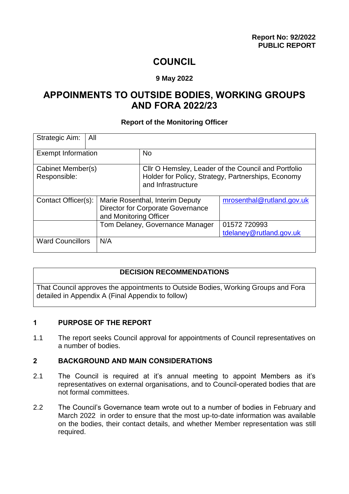# **COUNCIL**

#### **9 May 2022**

# **APPOINMENTS TO OUTSIDE BODIES, WORKING GROUPS AND FORA 2022/23**

#### **Report of the Monitoring Officer**

| Strategic Aim:                    | All                                                                                                   |                                                                                                                                 |                                         |
|-----------------------------------|-------------------------------------------------------------------------------------------------------|---------------------------------------------------------------------------------------------------------------------------------|-----------------------------------------|
| <b>Exempt Information</b>         |                                                                                                       | <b>No</b>                                                                                                                       |                                         |
| Cabinet Member(s)<br>Responsible: |                                                                                                       | Cllr O Hemsley, Leader of the Council and Portfolio<br>Holder for Policy, Strategy, Partnerships, Economy<br>and Infrastructure |                                         |
| Contact Officer(s):               | Marie Rosenthal, Interim Deputy<br><b>Director for Corporate Governance</b><br>and Monitoring Officer |                                                                                                                                 | mrosenthal@rutland.gov.uk               |
|                                   |                                                                                                       | Tom Delaney, Governance Manager                                                                                                 | 01572 720993<br>tdelaney@rutland.gov.uk |
| <b>Ward Councillors</b>           | N/A                                                                                                   |                                                                                                                                 |                                         |

#### **DECISION RECOMMENDATIONS**

That Council approves the appointments to Outside Bodies, Working Groups and Fora detailed in Appendix A (Final Appendix to follow)

#### **1 PURPOSE OF THE REPORT**

1.1 The report seeks Council approval for appointments of Council representatives on a number of bodies.

#### **2 BACKGROUND AND MAIN CONSIDERATIONS**

- 2.1 The Council is required at it's annual meeting to appoint Members as it's representatives on external organisations, and to Council-operated bodies that are not formal committees.
- 2.2 The Council's Governance team wrote out to a number of bodies in February and March 2022 in order to ensure that the most up-to-date information was available on the bodies, their contact details, and whether Member representation was still required.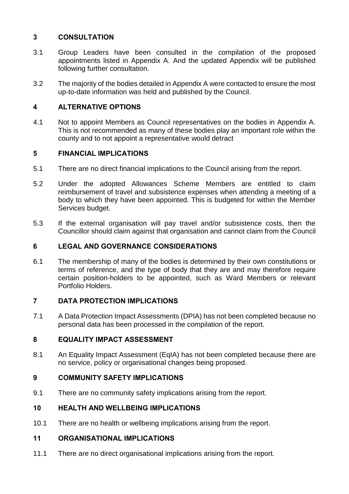# **3 CONSULTATION**

- 3.1 Group Leaders have been consulted in the compilation of the proposed appointments listed in Appendix A. And the updated Appendix will be published following further consultation.
- 3.2 The majority of the bodies detailed in Appendix A were contacted to ensure the most up-to-date information was held and published by the Council.

## **4 ALTERNATIVE OPTIONS**

4.1 Not to appoint Members as Council representatives on the bodies in Appendix A. This is not recommended as many of these bodies play an important role within the county and to not appoint a representative would detract

## **5 FINANCIAL IMPLICATIONS**

- 5.1 There are no direct financial implications to the Council arising from the report.
- 5.2 Under the adopted Allowances Scheme Members are entitled to claim reimbursement of travel and subsistence expenses when attending a meeting of a body to which they have been appointed. This is budgeted for within the Member Services budget.
- 5.3 If the external organisation will pay travel and/or subsistence costs, then the Councillor should claim against that organisation and cannot claim from the Council

### **6 LEGAL AND GOVERNANCE CONSIDERATIONS**

6.1 The membership of many of the bodies is determined by their own constitutions or terms of reference, and the type of body that they are and may therefore require certain position-holders to be appointed, such as Ward Members or relevant Portfolio Holders.

### **7 DATA PROTECTION IMPLICATIONS**

7.1 A Data Protection Impact Assessments (DPIA) has not been completed because no personal data has been processed in the compilation of the report.

### **8 EQUALITY IMPACT ASSESSMENT**

8.1 An Equality Impact Assessment (EqIA) has not been completed because there are no service, policy or organisational changes being proposed.

# **9 COMMUNITY SAFETY IMPLICATIONS**

9.1 There are no community safety implications arising from the report.

### **10 HEALTH AND WELLBEING IMPLICATIONS**

10.1 There are no health or wellbeing implications arising from the report.

## **11 ORGANISATIONAL IMPLICATIONS**

11.1 There are no direct organisational implications arising from the report.